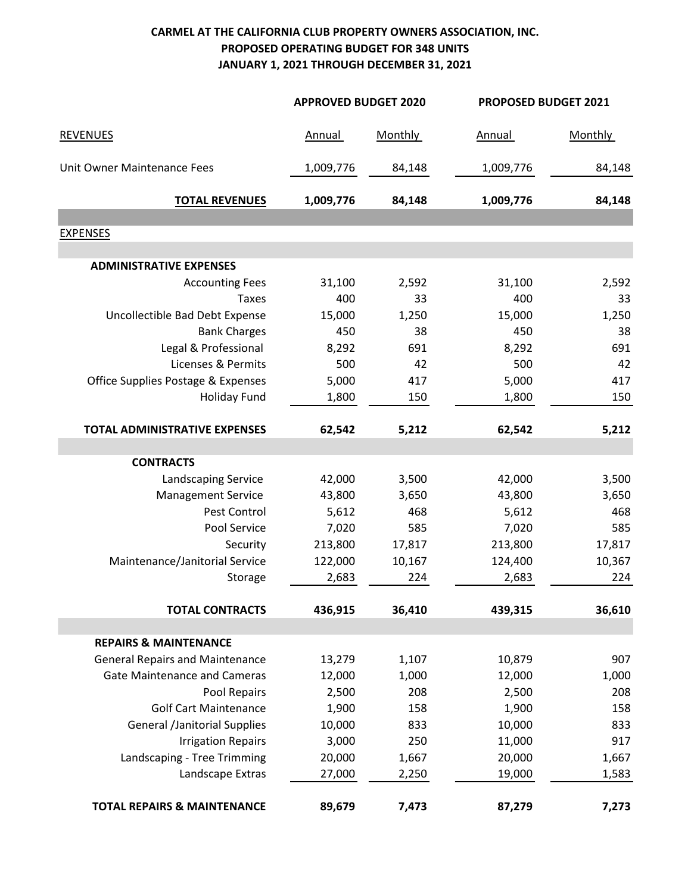## **CARMEL AT THE CALIFORNIA CLUB PROPERTY OWNERS ASSOCIATION, INC. PROPOSED OPERATING BUDGET FOR 348 UNITS JANUARY 1, 2021 THROUGH DECEMBER 31, 2021**

|                                        | <b>APPROVED BUDGET 2020</b> |                | PROPOSED BUDGET 2021 |                |  |
|----------------------------------------|-----------------------------|----------------|----------------------|----------------|--|
| <b>REVENUES</b>                        | Annual                      | <b>Monthly</b> | Annual               | <b>Monthly</b> |  |
| Unit Owner Maintenance Fees            | 1,009,776                   | 84,148         | 1,009,776            | 84,148         |  |
| <b>TOTAL REVENUES</b>                  | 1,009,776                   | 84,148         | 1,009,776            | 84,148         |  |
| <b>EXPENSES</b>                        |                             |                |                      |                |  |
|                                        |                             |                |                      |                |  |
| <b>ADMINISTRATIVE EXPENSES</b>         |                             |                |                      |                |  |
| <b>Accounting Fees</b>                 | 31,100                      | 2,592          | 31,100               | 2,592          |  |
| <b>Taxes</b>                           | 400                         | 33             | 400                  | 33             |  |
| Uncollectible Bad Debt Expense         | 15,000                      | 1,250          | 15,000               | 1,250          |  |
| <b>Bank Charges</b>                    | 450                         | 38             | 450                  | 38             |  |
| Legal & Professional                   | 8,292                       | 691            | 8,292                | 691            |  |
| Licenses & Permits                     | 500                         | 42             | 500                  | 42             |  |
| Office Supplies Postage & Expenses     | 5,000                       | 417            | 5,000                | 417            |  |
| <b>Holiday Fund</b>                    | 1,800                       | 150            | 1,800                | 150            |  |
| TOTAL ADMINISTRATIVE EXPENSES          | 62,542                      | 5,212          | 62,542               | 5,212          |  |
| <b>CONTRACTS</b>                       |                             |                |                      |                |  |
| <b>Landscaping Service</b>             | 42,000                      | 3,500          | 42,000               | 3,500          |  |
| <b>Management Service</b>              | 43,800                      | 3,650          | 43,800               | 3,650          |  |
| Pest Control                           | 5,612                       | 468            | 5,612                | 468            |  |
| Pool Service                           | 7,020                       | 585            | 7,020                | 585            |  |
| Security                               | 213,800                     | 17,817         | 213,800              | 17,817         |  |
| Maintenance/Janitorial Service         | 122,000                     | 10,167         | 124,400              | 10,367         |  |
| Storage                                | 2,683                       | 224            | 2,683                | 224            |  |
| <b>TOTAL CONTRACTS</b>                 | 436,915                     | 36,410         | 439,315              | 36,610         |  |
|                                        |                             |                |                      |                |  |
| <b>REPAIRS &amp; MAINTENANCE</b>       |                             |                |                      |                |  |
| <b>General Repairs and Maintenance</b> | 13,279                      | 1,107          | 10,879               | 907            |  |
| <b>Gate Maintenance and Cameras</b>    | 12,000                      | 1,000          | 12,000               | 1,000          |  |
| Pool Repairs                           | 2,500                       | 208            | 2,500                | 208            |  |
| <b>Golf Cart Maintenance</b>           | 1,900                       | 158            | 1,900                | 158            |  |
| <b>General /Janitorial Supplies</b>    | 10,000                      | 833            | 10,000               | 833            |  |
| <b>Irrigation Repairs</b>              | 3,000                       | 250            | 11,000               | 917            |  |
| Landscaping - Tree Trimming            | 20,000                      | 1,667          | 20,000               | 1,667          |  |
| Landscape Extras                       | 27,000                      | 2,250          | 19,000               | 1,583          |  |
| <b>TOTAL REPAIRS &amp; MAINTENANCE</b> | 89,679                      | 7,473          | 87,279               | 7,273          |  |